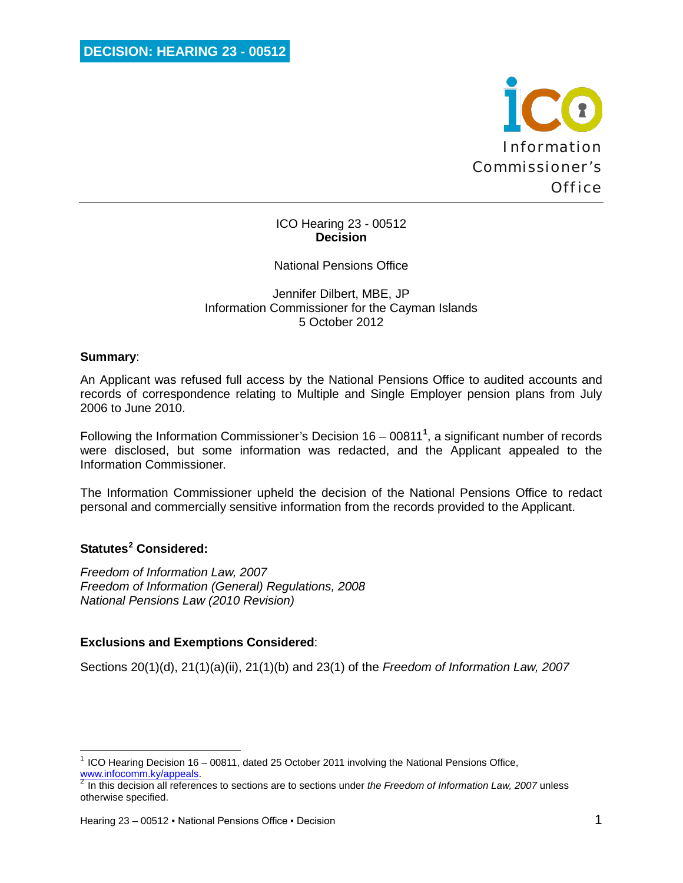

### ICO Hearing 23 - 00512 **Decision**

### National Pensions Office

Jennifer Dilbert, MBE, JP Information Commissioner for the Cayman Islands 5 October 2012

#### **Summary**:

An Applicant was refused full access by the National Pensions Office to audited accounts and records of correspondence relating to Multiple and Single Employer pension plans from July 2006 to June 2010.

Following the Information Commissioner's Decision 16 – 00811**[1](#page-0-0)** , a significant number of records were disclosed, but some information was redacted, and the Applicant appealed to the Information Commissioner.

The Information Commissioner upheld the decision of the National Pensions Office to redact personal and commercially sensitive information from the records provided to the Applicant.

# **Statutes[2](#page-0-1) Considered:**

ı

*Freedom of Information Law, 2007 Freedom of Information (General) Regulations, 2008 National Pensions Law (2010 Revision)*

### **Exclusions and Exemptions Considered**:

Sections 20(1)(d), 21(1)(a)(ii), 21(1)(b) and 23(1) of the *Freedom of Information Law, 2007*

<span id="page-0-0"></span><sup>1</sup> ICO Hearing Decision 16 – 00811, dated 25 October 2011 involving the National Pensions Office,

<span id="page-0-1"></span>In this decision all references to sections are to sections under *the Freedom of Information Law, 2007* unless otherwise specified.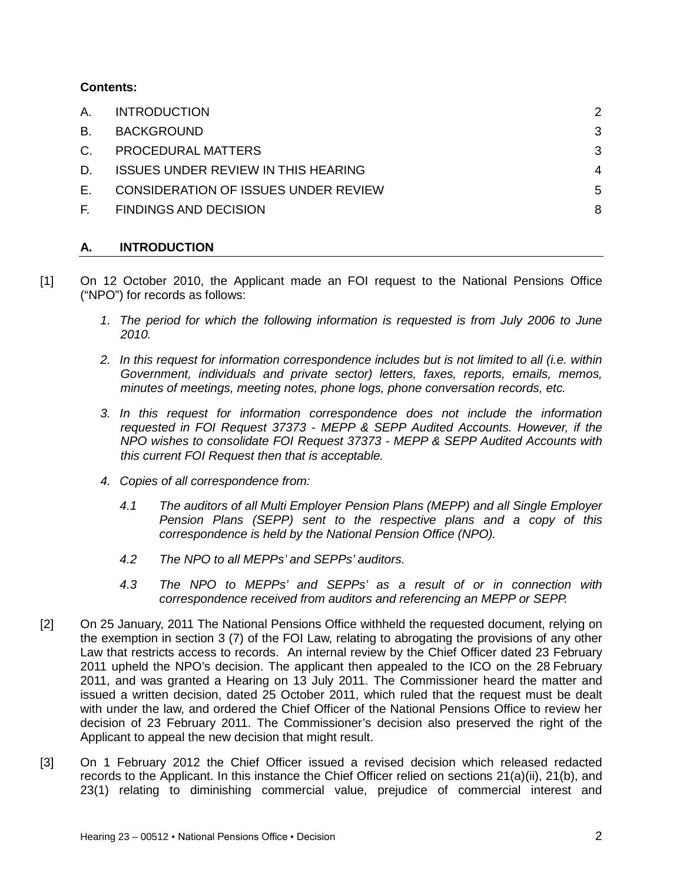## **Contents:**

| А.        | <b>INTRODUCTION</b>                        |   |
|-----------|--------------------------------------------|---|
| <b>B.</b> | <b>BACKGROUND</b>                          | 3 |
| C.        | PROCEDURAL MATTERS                         | 3 |
| D.        | <b>ISSUES UNDER REVIEW IN THIS HEARING</b> | 4 |
| Е.        | CONSIDERATION OF ISSUES UNDER REVIEW       | 5 |
| E.        | <b>FINDINGS AND DECISION</b>               | 8 |
|           |                                            |   |

# <span id="page-1-0"></span>**A. INTRODUCTION**

- [1] On 12 October 2010, the Applicant made an FOI request to the National Pensions Office ("NPO") for records as follows:
	- *1. The period for which the following information is requested is from July 2006 to June 2010.*
	- *2. In this request for information correspondence includes but is not limited to all (i.e. within Government, individuals and private sector) letters, faxes, reports, emails, memos, minutes of meetings, meeting notes, phone logs, phone conversation records, etc.*
	- *3. In this request for information correspondence does not include the information requested in FOI Request 37373 - MEPP & SEPP Audited Accounts. However, if the NPO wishes to consolidate FOI Request 37373 - MEPP & SEPP Audited Accounts with this current FOI Request then that is acceptable.*
	- *4. Copies of all correspondence from:*
		- *4.1 The auditors of all Multi Employer Pension Plans (MEPP) and all Single Employer Pension Plans (SEPP) sent to the respective plans and a copy of this correspondence is held by the National Pension Office (NPO).*
		- *4.2 The NPO to all MEPPs' and SEPPs' auditors.*
		- *4.3 The NPO to MEPPs' and SEPPs' as a result of or in connection with correspondence received from auditors and referencing an MEPP or SEPP.*
- [2] On 25 January, 2011 The National Pensions Office withheld the requested document, relying on the exemption in section 3 (7) of the FOI Law, relating to abrogating the provisions of any other Law that restricts access to records. An internal review by the Chief Officer dated 23 February 2011 upheld the NPO's decision. The applicant then appealed to the ICO on the 28 February 2011, and was granted a Hearing on 13 July 2011. The Commissioner heard the matter and issued a written decision, dated 25 October 2011, which ruled that the request must be dealt with under the law, and ordered the Chief Officer of the National Pensions Office to review her decision of 23 February 2011. The Commissioner's decision also preserved the right of the Applicant to appeal the new decision that might result.
- [3] On 1 February 2012 the Chief Officer issued a revised decision which released redacted records to the Applicant. In this instance the Chief Officer relied on sections 21(a)(ii), 21(b), and 23(1) relating to diminishing commercial value, prejudice of commercial interest and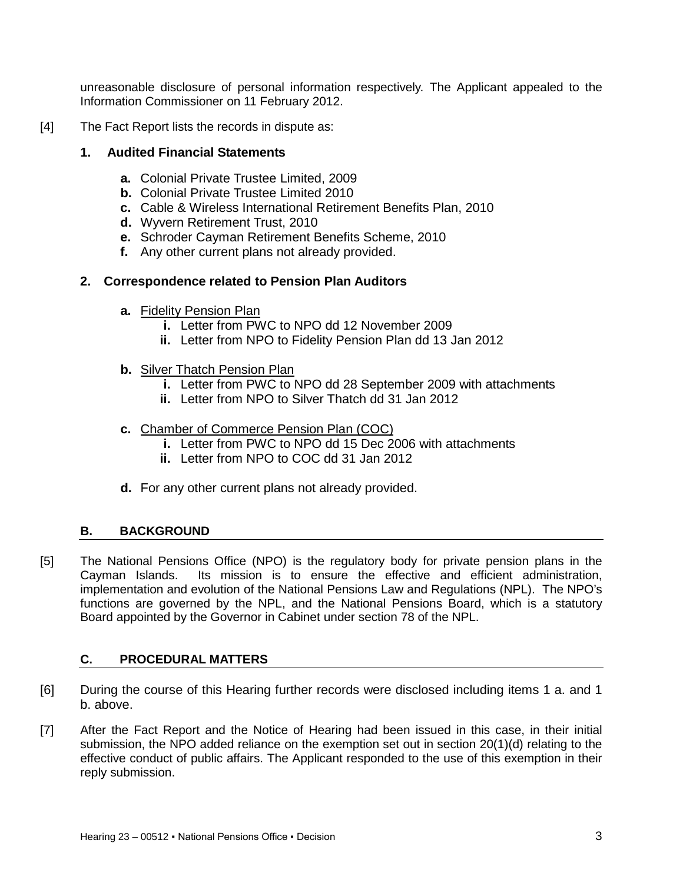unreasonable disclosure of personal information respectively. The Applicant appealed to the Information Commissioner on 11 February 2012.

[4] The Fact Report lists the records in dispute as:

### **1. Audited Financial Statements**

- **a.** Colonial Private Trustee Limited, 2009
- **b.** Colonial Private Trustee Limited 2010
- **c.** Cable & Wireless International Retirement Benefits Plan, 2010
- **d.** Wyvern Retirement Trust, 2010
- **e.** Schroder Cayman Retirement Benefits Scheme, 2010
- **f.** Any other current plans not already provided.

## **2. Correspondence related to Pension Plan Auditors**

- **a.** Fidelity Pension Plan
	- **i.** Letter from PWC to NPO dd 12 November 2009
	- **ii.** Letter from NPO to Fidelity Pension Plan dd 13 Jan 2012
- **b.** Silver Thatch Pension Plan
	- **i.** Letter from PWC to NPO dd 28 September 2009 with attachments
	- **ii.** Letter from NPO to Silver Thatch dd 31 Jan 2012
- **c.** Chamber of Commerce Pension Plan (COC)
	- **i.** Letter from PWC to NPO dd 15 Dec 2006 with attachments
	- **ii.** Letter from NPO to COC dd 31 Jan 2012
- **d.** For any other current plans not already provided.

# <span id="page-2-0"></span>**B. BACKGROUND**

[5] The National Pensions Office (NPO) is the regulatory body for private pension plans in the Cayman Islands. Its mission is to ensure the effective and efficient administration, implementation and evolution of the National Pensions Law and Regulations (NPL). The NPO's functions are governed by the NPL, and the National Pensions Board, which is a statutory Board appointed by the Governor in Cabinet under section 78 of the NPL.

### <span id="page-2-1"></span>**C. PROCEDURAL MATTERS**

- [6] During the course of this Hearing further records were disclosed including items 1 a. and 1 b. above.
- [7] After the Fact Report and the Notice of Hearing had been issued in this case, in their initial submission, the NPO added reliance on the exemption set out in section 20(1)(d) relating to the effective conduct of public affairs. The Applicant responded to the use of this exemption in their reply submission.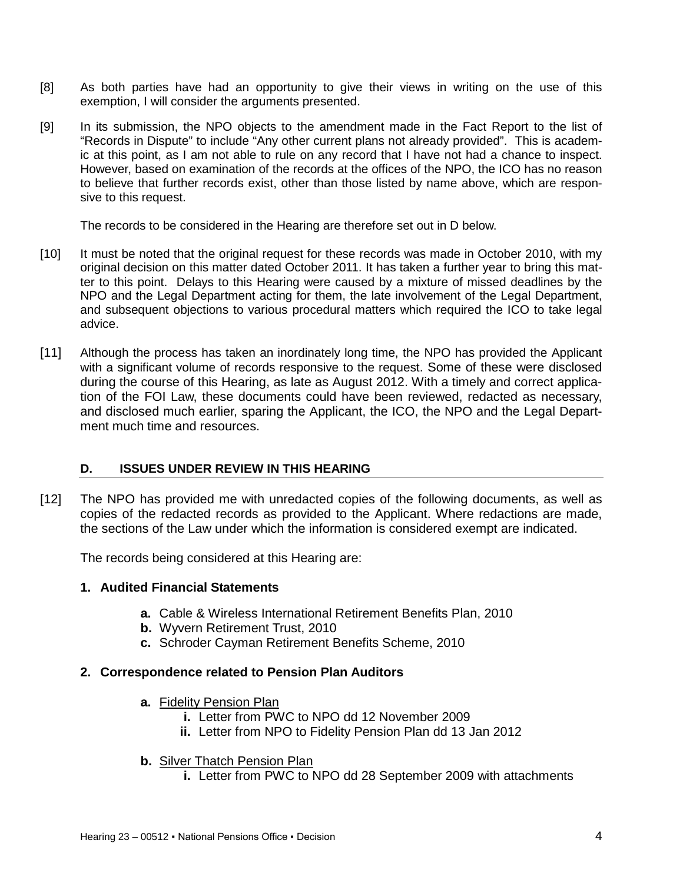- [8] As both parties have had an opportunity to give their views in writing on the use of this exemption, I will consider the arguments presented.
- [9] In its submission, the NPO objects to the amendment made in the Fact Report to the list of "Records in Dispute" to include "Any other current plans not already provided". This is academic at this point, as I am not able to rule on any record that I have not had a chance to inspect. However, based on examination of the records at the offices of the NPO, the ICO has no reason to believe that further records exist, other than those listed by name above, which are responsive to this request.

The records to be considered in the Hearing are therefore set out in D below.

- [10] It must be noted that the original request for these records was made in October 2010, with my original decision on this matter dated October 2011. It has taken a further year to bring this matter to this point. Delays to this Hearing were caused by a mixture of missed deadlines by the NPO and the Legal Department acting for them, the late involvement of the Legal Department, and subsequent objections to various procedural matters which required the ICO to take legal advice.
- [11] Although the process has taken an inordinately long time, the NPO has provided the Applicant with a significant volume of records responsive to the request. Some of these were disclosed during the course of this Hearing, as late as August 2012. With a timely and correct application of the FOI Law, these documents could have been reviewed, redacted as necessary, and disclosed much earlier, sparing the Applicant, the ICO, the NPO and the Legal Department much time and resources.

# <span id="page-3-0"></span>**D. ISSUES UNDER REVIEW IN THIS HEARING**

[12] The NPO has provided me with unredacted copies of the following documents, as well as copies of the redacted records as provided to the Applicant. Where redactions are made, the sections of the Law under which the information is considered exempt are indicated.

The records being considered at this Hearing are:

### **1. Audited Financial Statements**

- **a.** Cable & Wireless International Retirement Benefits Plan, 2010
- **b.** Wyvern Retirement Trust, 2010
- **c.** Schroder Cayman Retirement Benefits Scheme, 2010

### **2. Correspondence related to Pension Plan Auditors**

- **a.** Fidelity Pension Plan
	- **i.** Letter from PWC to NPO dd 12 November 2009
	- **ii.** Letter from NPO to Fidelity Pension Plan dd 13 Jan 2012
- **b.** Silver Thatch Pension Plan
	- **i.** Letter from PWC to NPO dd 28 September 2009 with attachments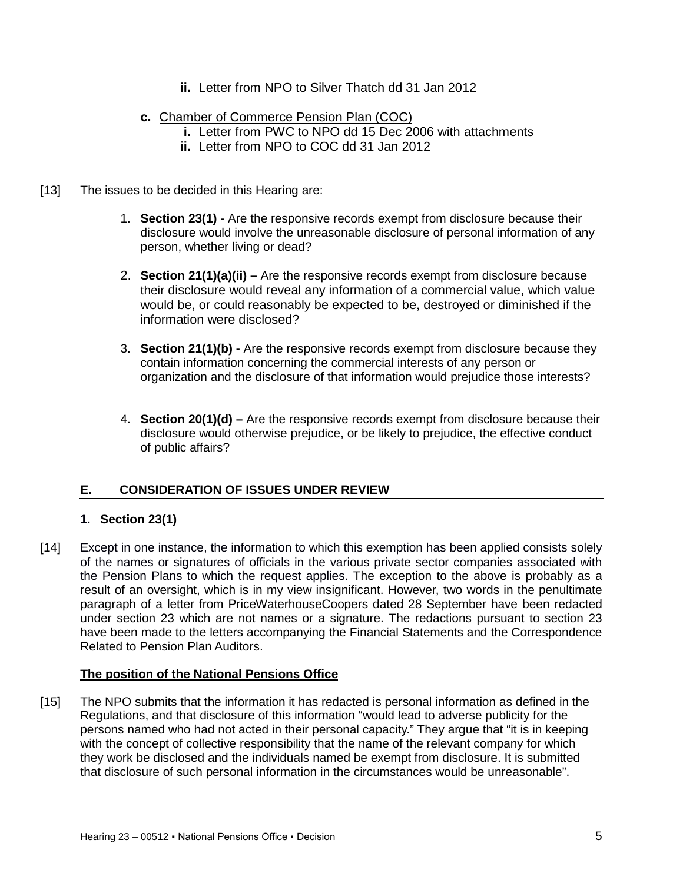- **ii.** Letter from NPO to Silver Thatch dd 31 Jan 2012
- **c.** Chamber of Commerce Pension Plan (COC)
	- **i.** Letter from PWC to NPO dd 15 Dec 2006 with attachments
	- **ii.** Letter from NPO to COC dd 31 Jan 2012
- [13] The issues to be decided in this Hearing are:
	- 1. **Section 23(1) -** Are the responsive records exempt from disclosure because their disclosure would involve the unreasonable disclosure of personal information of any person, whether living or dead?
	- 2. **Section 21(1)(a)(ii) –** Are the responsive records exempt from disclosure because their disclosure would reveal any information of a commercial value, which value would be, or could reasonably be expected to be, destroyed or diminished if the information were disclosed?
	- 3. **Section 21(1)(b) -** Are the responsive records exempt from disclosure because they contain information concerning the commercial interests of any person or organization and the disclosure of that information would prejudice those interests?
	- 4. **Section 20(1)(d) –** Are the responsive records exempt from disclosure because their disclosure would otherwise prejudice, or be likely to prejudice, the effective conduct of public affairs?

# <span id="page-4-0"></span>**E. CONSIDERATION OF ISSUES UNDER REVIEW**

# **1. Section 23(1)**

[14] Except in one instance, the information to which this exemption has been applied consists solely of the names or signatures of officials in the various private sector companies associated with the Pension Plans to which the request applies. The exception to the above is probably as a result of an oversight, which is in my view insignificant. However, two words in the penultimate paragraph of a letter from PriceWaterhouseCoopers dated 28 September have been redacted under section 23 which are not names or a signature. The redactions pursuant to section 23 have been made to the letters accompanying the Financial Statements and the Correspondence Related to Pension Plan Auditors.

### **The position of the National Pensions Office**

[15] The NPO submits that the information it has redacted is personal information as defined in the Regulations, and that disclosure of this information "would lead to adverse publicity for the persons named who had not acted in their personal capacity." They argue that "it is in keeping with the concept of collective responsibility that the name of the relevant company for which they work be disclosed and the individuals named be exempt from disclosure. It is submitted that disclosure of such personal information in the circumstances would be unreasonable".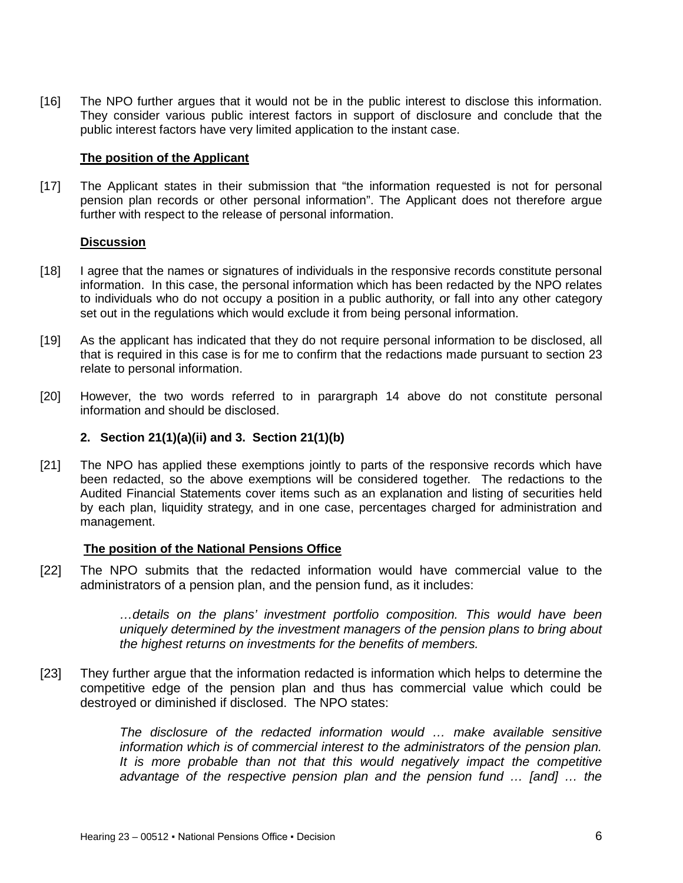[16] The NPO further argues that it would not be in the public interest to disclose this information. They consider various public interest factors in support of disclosure and conclude that the public interest factors have very limited application to the instant case.

#### **The position of the Applicant**

[17] The Applicant states in their submission that "the information requested is not for personal pension plan records or other personal information". The Applicant does not therefore argue further with respect to the release of personal information.

#### **Discussion**

- [18] I agree that the names or signatures of individuals in the responsive records constitute personal information. In this case, the personal information which has been redacted by the NPO relates to individuals who do not occupy a position in a public authority, or fall into any other category set out in the regulations which would exclude it from being personal information.
- [19] As the applicant has indicated that they do not require personal information to be disclosed, all that is required in this case is for me to confirm that the redactions made pursuant to section 23 relate to personal information.
- [20] However, the two words referred to in parargraph 14 above do not constitute personal information and should be disclosed.

### **2. Section 21(1)(a)(ii) and 3. Section 21(1)(b)**

[21] The NPO has applied these exemptions jointly to parts of the responsive records which have been redacted, so the above exemptions will be considered together. The redactions to the Audited Financial Statements cover items such as an explanation and listing of securities held by each plan, liquidity strategy, and in one case, percentages charged for administration and management.

#### **The position of the National Pensions Office**

[22] The NPO submits that the redacted information would have commercial value to the administrators of a pension plan, and the pension fund, as it includes:

> *…details on the plans' investment portfolio composition. This would have been uniquely determined by the investment managers of the pension plans to bring about the highest returns on investments for the benefits of members.*

[23] They further argue that the information redacted is information which helps to determine the competitive edge of the pension plan and thus has commercial value which could be destroyed or diminished if disclosed. The NPO states:

> *The disclosure of the redacted information would … make available sensitive information which is of commercial interest to the administrators of the pension plan. It is more probable than not that this would negatively impact the competitive advantage of the respective pension plan and the pension fund … [and] … the*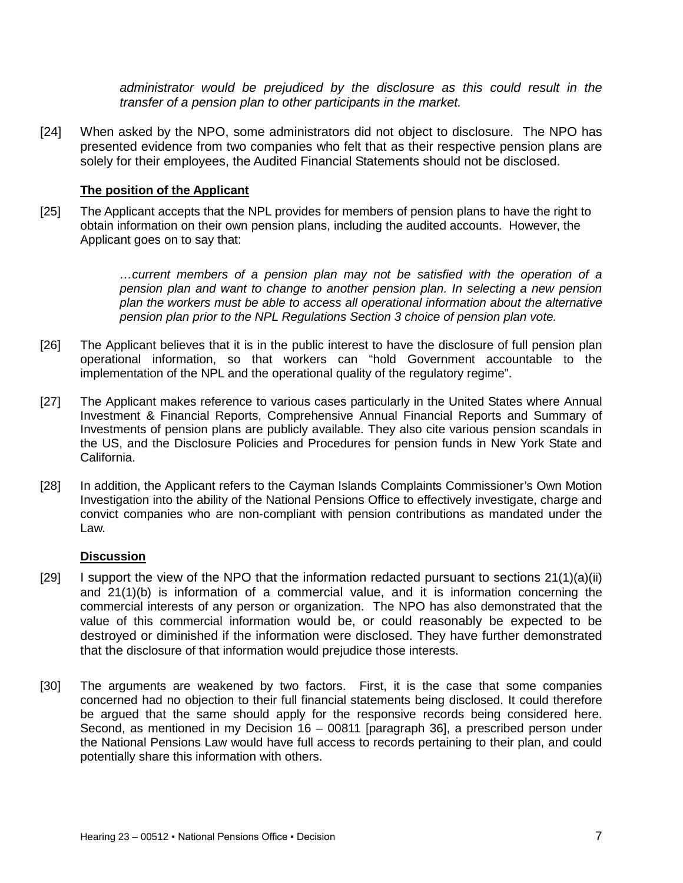*administrator would be prejudiced by the disclosure as this could result in the transfer of a pension plan to other participants in the market.*

[24] When asked by the NPO, some administrators did not object to disclosure. The NPO has presented evidence from two companies who felt that as their respective pension plans are solely for their employees, the Audited Financial Statements should not be disclosed.

#### **The position of the Applicant**

[25] The Applicant accepts that the NPL provides for members of pension plans to have the right to obtain information on their own pension plans, including the audited accounts. However, the Applicant goes on to say that:

> *…current members of a pension plan may not be satisfied with the operation of a pension plan and want to change to another pension plan. In selecting a new pension plan the workers must be able to access all operational information about the alternative pension plan prior to the NPL Regulations Section 3 choice of pension plan vote.*

- [26] The Applicant believes that it is in the public interest to have the disclosure of full pension plan operational information, so that workers can "hold Government accountable to the implementation of the NPL and the operational quality of the regulatory regime".
- [27] The Applicant makes reference to various cases particularly in the United States where Annual Investment & Financial Reports, Comprehensive Annual Financial Reports and Summary of Investments of pension plans are publicly available. They also cite various pension scandals in the US, and the Disclosure Policies and Procedures for pension funds in New York State and California.
- [28] In addition, the Applicant refers to the Cayman Islands Complaints Commissioner's Own Motion Investigation into the ability of the National Pensions Office to effectively investigate, charge and convict companies who are non-compliant with pension contributions as mandated under the Law.

#### **Discussion**

- [29] I support the view of the NPO that the information redacted pursuant to sections  $21(1)(a)(ii)$ and 21(1)(b) is information of a commercial value, and it is information concerning the commercial interests of any person or organization. The NPO has also demonstrated that the value of this commercial information would be, or could reasonably be expected to be destroyed or diminished if the information were disclosed. They have further demonstrated that the disclosure of that information would prejudice those interests.
- [30] The arguments are weakened by two factors. First, it is the case that some companies concerned had no objection to their full financial statements being disclosed. It could therefore be argued that the same should apply for the responsive records being considered here. Second, as mentioned in my Decision 16 – 00811 [paragraph 36], a prescribed person under the National Pensions Law would have full access to records pertaining to their plan, and could potentially share this information with others.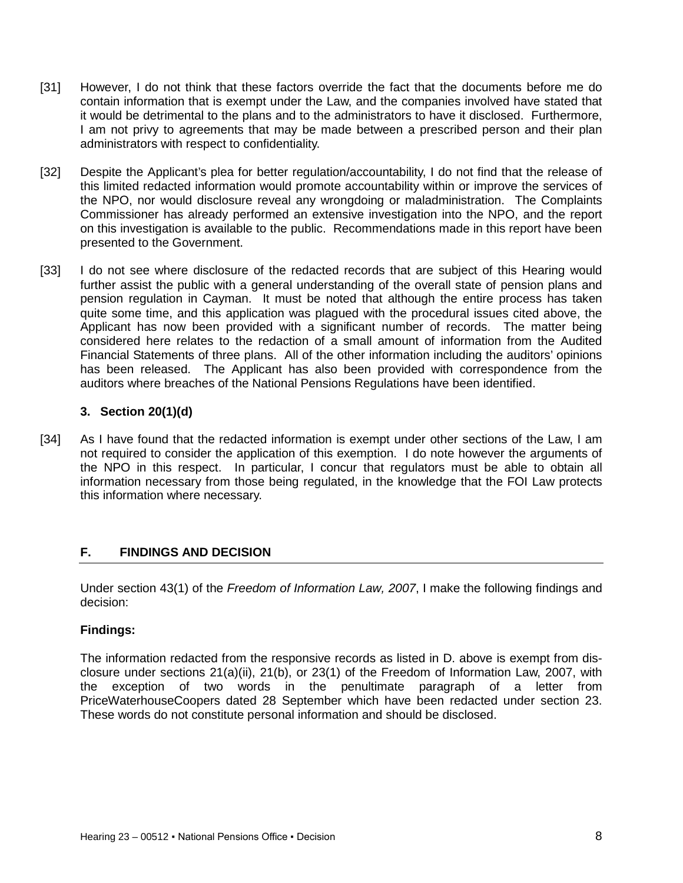- [31] However, I do not think that these factors override the fact that the documents before me do contain information that is exempt under the Law, and the companies involved have stated that it would be detrimental to the plans and to the administrators to have it disclosed. Furthermore, I am not privy to agreements that may be made between a prescribed person and their plan administrators with respect to confidentiality.
- [32] Despite the Applicant's plea for better regulation/accountability, I do not find that the release of this limited redacted information would promote accountability within or improve the services of the NPO, nor would disclosure reveal any wrongdoing or maladministration. The Complaints Commissioner has already performed an extensive investigation into the NPO, and the report on this investigation is available to the public. Recommendations made in this report have been presented to the Government.
- [33] I do not see where disclosure of the redacted records that are subject of this Hearing would further assist the public with a general understanding of the overall state of pension plans and pension regulation in Cayman. It must be noted that although the entire process has taken quite some time, and this application was plagued with the procedural issues cited above, the Applicant has now been provided with a significant number of records. The matter being considered here relates to the redaction of a small amount of information from the Audited Financial Statements of three plans. All of the other information including the auditors' opinions has been released. The Applicant has also been provided with correspondence from the auditors where breaches of the National Pensions Regulations have been identified.

### **3. Section 20(1)(d)**

[34] As I have found that the redacted information is exempt under other sections of the Law, I am not required to consider the application of this exemption. I do note however the arguments of the NPO in this respect. In particular, I concur that regulators must be able to obtain all information necessary from those being regulated, in the knowledge that the FOI Law protects this information where necessary.

### <span id="page-7-0"></span>**F. FINDINGS AND DECISION**

Under section 43(1) of the *Freedom of Information Law, 2007*, I make the following findings and decision:

### **Findings:**

The information redacted from the responsive records as listed in D. above is exempt from disclosure under sections 21(a)(ii), 21(b), or 23(1) of the Freedom of Information Law, 2007, with the exception of two words in the penultimate paragraph of a letter from PriceWaterhouseCoopers dated 28 September which have been redacted under section 23. These words do not constitute personal information and should be disclosed.